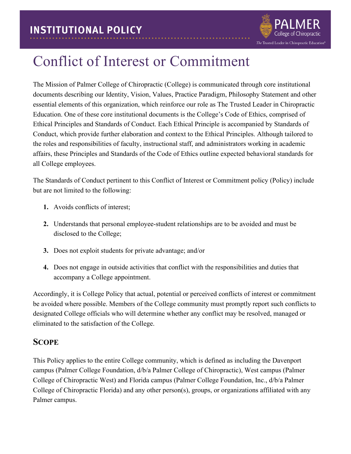

## Conflict of Interest or Commitment

The Mission of Palmer College of Chiropractic (College) is communicated through core institutional documents describing our Identity, Vision, Values, Practice Paradigm, Philosophy Statement and other essential elements of this organization, which reinforce our role as The Trusted Leader in Chiropractic Education. One of these core institutional documents is the College's Code of Ethics, comprised of Ethical Principles and Standards of Conduct. Each Ethical Principle is accompanied by Standards of Conduct, which provide further elaboration and context to the Ethical Principles. Although tailored to the roles and responsibilities of faculty, instructional staff, and administrators working in academic affairs, these Principles and Standards of the Code of Ethics outline expected behavioral standards for all College employees.

The Standards of Conduct pertinent to this Conflict of Interest or Commitment policy (Policy) include but are not limited to the following:

- **1.** Avoids conflicts of interest;
- **2.** Understands that personal employee-student relationships are to be avoided and must be disclosed to the College;
- **3.** Does not exploit students for private advantage; and/or
- **4.** Does not engage in outside activities that conflict with the responsibilities and duties that accompany a College appointment.

Accordingly, it is College Policy that actual, potential or perceived conflicts of interest or commitment be avoided where possible. Members of the College community must promptly report such conflicts to designated College officials who will determine whether any conflict may be resolved, managed or eliminated to the satisfaction of the College.

#### **SCOPE**

This Policy applies to the entire College community, which is defined as including the Davenport campus (Palmer College Foundation, d/b/a Palmer College of Chiropractic), West campus (Palmer College of Chiropractic West) and Florida campus (Palmer College Foundation, Inc., d/b/a Palmer College of Chiropractic Florida) and any other person(s), groups, or organizations affiliated with any Palmer campus.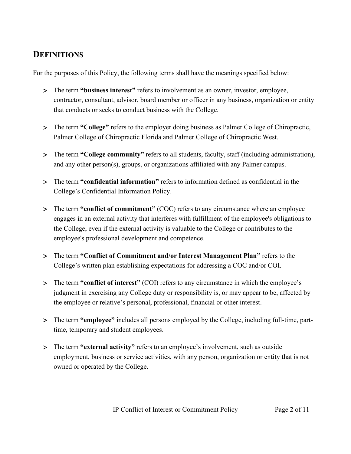## **DEFINITIONS**

For the purposes of this Policy, the following terms shall have the meanings specified below:

- > The term **"business interest"** refers to involvement as an owner, investor, employee, contractor, consultant, advisor, board member or officer in any business, organization or entity that conducts or seeks to conduct business with the College.
- > The term **"College"** refers to the employer doing business as Palmer College of Chiropractic, Palmer College of Chiropractic Florida and Palmer College of Chiropractic West.
- > The term **"College community"** refers to all students, faculty, staff (including administration), and any other person(s), groups, or organizations affiliated with any Palmer campus.
- > The term **"confidential information"** refers to information defined as confidential in the College's Confidential Information Policy.
- > The term **"conflict of commitment"** (COC) refers to any circumstance where an employee engages in an external activity that interferes with fulfillment of the employee's obligations to the College, even if the external activity is valuable to the College or contributes to the employee's professional development and competence.
- > The term **"Conflict of Commitment and/or Interest Management Plan"** refers to the College's written plan establishing expectations for addressing a COC and/or COI.
- > The term **"conflict of interest"** (COI) refers to any circumstance in which the employee's judgment in exercising any College duty or responsibility is, or may appear to be, affected by the employee or relative's personal, professional, financial or other interest.
- > The term **"employee"** includes all persons employed by the College, including full-time, parttime, temporary and student employees.
- > The term **"external activity"** refers to an employee's involvement, such as outside employment, business or service activities, with any person, organization or entity that is not owned or operated by the College.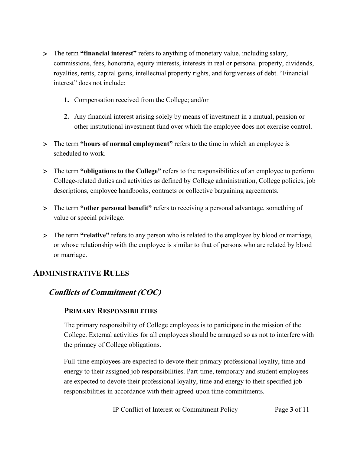- > The term **"financial interest"** refers to anything of monetary value, including salary, commissions, fees, honoraria, equity interests, interests in real or personal property, dividends, royalties, rents, capital gains, intellectual property rights, and forgiveness of debt. "Financial interest" does not include:
	- **1.** Compensation received from the College; and/or
	- **2.** Any financial interest arising solely by means of investment in a mutual, pension or other institutional investment fund over which the employee does not exercise control.
- > The term **"hours of normal employment"** refers to the time in which an employee is scheduled to work.
- > The term **"obligations to the College"** refers to the responsibilities of an employee to perform College-related duties and activities as defined by College administration, College policies, job descriptions, employee handbooks, contracts or collective bargaining agreements.
- > The term **"other personal benefit"** refers to receiving a personal advantage, something of value or special privilege.
- > The term **"relative"** refers to any person who is related to the employee by blood or marriage, or whose relationship with the employee is similar to that of persons who are related by blood or marriage.

#### **ADMINISTRATIVE RULES**

#### **Conflicts of Commitment (COC)**

#### **PRIMARY RESPONSIBILITIES**

The primary responsibility of College employees is to participate in the mission of the College. External activities for all employees should be arranged so as not to interfere with the primacy of College obligations.

Full-time employees are expected to devote their primary professional loyalty, time and energy to their assigned job responsibilities. Part-time, temporary and student employees are expected to devote their professional loyalty, time and energy to their specified job responsibilities in accordance with their agreed-upon time commitments.

IP Conflict of Interest or Commitment Policy Page **3** of 11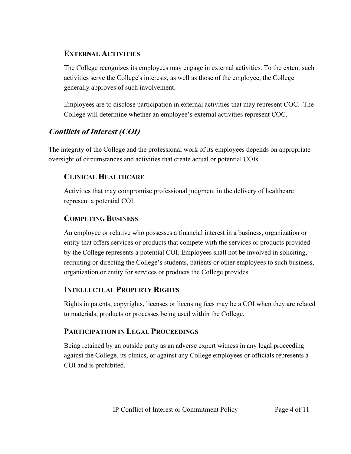#### **EXTERNAL ACTIVITIES**

The College recognizes its employees may engage in external activities. To the extent such activities serve the College's interests, as well as those of the employee, the College generally approves of such involvement.

Employees are to disclose participation in external activities that may represent COC. The College will determine whether an employee's external activities represent COC.

## **Conflicts of Interest (COI)**

The integrity of the College and the professional work of its employees depends on appropriate oversight of circumstances and activities that create actual or potential COIs.

#### **CLINICAL HEALTHCARE**

Activities that may compromise professional judgment in the delivery of healthcare represent a potential COI.

#### **COMPETING BUSINESS**

An employee or relative who possesses a financial interest in a business, organization or entity that offers services or products that compete with the services or products provided by the College represents a potential COI. Employees shall not be involved in soliciting, recruiting or directing the College's students, patients or other employees to such business, organization or entity for services or products the College provides.

#### **INTELLECTUAL PROPERTY RIGHTS**

Rights in patents, copyrights, licenses or licensing fees may be a COI when they are related to materials, products or processes being used within the College.

#### **PARTICIPATION IN LEGAL PROCEEDINGS**

Being retained by an outside party as an adverse expert witness in any legal proceeding against the College, its clinics, or against any College employees or officials represents a COI and is prohibited.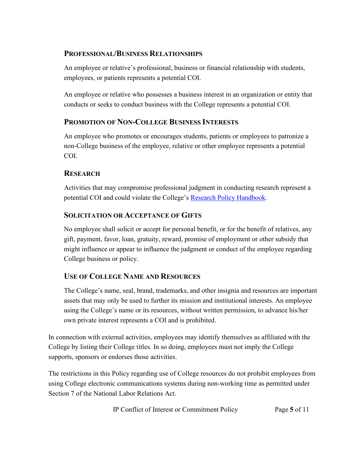#### **PROFESSIONAL/BUSINESS RELATIONSHIPS**

An employee or relative's professional, business or financial relationship with students, employees, or patients represents a potential COI.

An employee or relative who possesses a business interest in an organization or entity that conducts or seeks to conduct business with the College represents a potential COI.

#### **PROMOTION OF NON-COLLEGE BUSINESS INTERESTS**

An employee who promotes or encourages students, patients or employees to patronize a non-College business of the employee, relative or other employee represents a potential COI.

#### **RESEARCH**

Activities that may compromise professional judgment in conducting research represent a potential COI and could violate the College's [Research Policy Handbook.](https://livepalmer.sharepoint.com/sites/OfficeofCompliance/Shared%20Documents/Forms/All%20Documents.aspx?id=%2Fsites%2FOfficeofCompliance%2FShared%20Documents%2FPolicies%2FResearch%20Policy%20Handbook%2Epdf&parent=%2Fsites%2FOfficeofCompliance%2FShared%20Documents%2FPolicies)

#### **SOLICITATION OR ACCEPTANCE OF GIFTS**

No employee shall solicit or accept for personal benefit, or for the benefit of relatives, any gift, payment, favor, loan, gratuity, reward, promise of employment or other subsidy that might influence or appear to influence the judgment or conduct of the employee regarding College business or policy.

#### **USE OF COLLEGE NAME AND RESOURCES**

The College's name, seal, brand, trademarks, and other insignia and resources are important assets that may only be used to further its mission and institutional interests. An employee using the College's name or its resources, without written permission, to advance his/her own private interest represents a COI and is prohibited.

In connection with external activities, employees may identify themselves as affiliated with the College by listing their College titles. In so doing, employees must not imply the College supports, sponsors or endorses those activities.

The restrictions in this Policy regarding use of College resources do not prohibit employees from using College electronic communications systems during non-working time as permitted under Section 7 of the National Labor Relations Act.

IP Conflict of Interest or Commitment Policy Page **5** of 11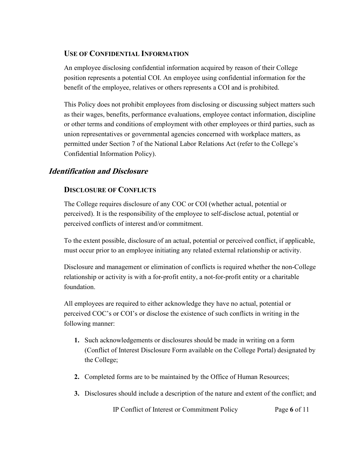#### **USE OF CONFIDENTIAL INFORMATION**

An employee disclosing confidential information acquired by reason of their College position represents a potential COI. An employee using confidential information for the benefit of the employee, relatives or others represents a COI and is prohibited.

This Policy does not prohibit employees from disclosing or discussing subject matters such as their wages, benefits, performance evaluations, employee contact information, discipline or other terms and conditions of employment with other employees or third parties, such as union representatives or governmental agencies concerned with workplace matters, as permitted under Section 7 of the National Labor Relations Act (refer to the College's Confidential Information Policy).

#### **Identification and Disclosure**

#### **DISCLOSURE OF CONFLICTS**

The College requires disclosure of any COC or COI (whether actual, potential or perceived). It is the responsibility of the employee to self-disclose actual, potential or perceived conflicts of interest and/or commitment.

To the extent possible, disclosure of an actual, potential or perceived conflict, if applicable, must occur prior to an employee initiating any related external relationship or activity.

Disclosure and management or elimination of conflicts is required whether the non-College relationship or activity is with a for-profit entity, a not-for-profit entity or a charitable foundation.

All employees are required to either acknowledge they have no actual, potential or perceived COC's or COI's or disclose the existence of such conflicts in writing in the following manner:

- **1.** Such acknowledgements or disclosures should be made in writing on a form (Conflict of Interest Disclosure Form available on the College Portal) designated by the College;
- **2.** Completed forms are to be maintained by the Office of Human Resources;
- **3.** Disclosures should include a description of the nature and extent of the conflict; and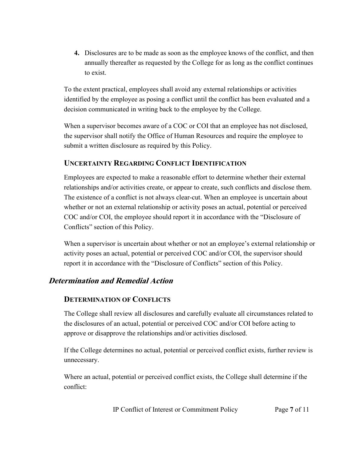**4.** Disclosures are to be made as soon as the employee knows of the conflict, and then annually thereafter as requested by the College for as long as the conflict continues to exist.

To the extent practical, employees shall avoid any external relationships or activities identified by the employee as posing a conflict until the conflict has been evaluated and a decision communicated in writing back to the employee by the College.

When a supervisor becomes aware of a COC or COI that an employee has not disclosed, the supervisor shall notify the Office of Human Resources and require the employee to submit a written disclosure as required by this Policy.

#### **UNCERTAINTY REGARDING CONFLICT IDENTIFICATION**

Employees are expected to make a reasonable effort to determine whether their external relationships and/or activities create, or appear to create, such conflicts and disclose them. The existence of a conflict is not always clear-cut. When an employee is uncertain about whether or not an external relationship or activity poses an actual, potential or perceived COC and/or COI, the employee should report it in accordance with the "Disclosure of Conflicts" section of this Policy.

When a supervisor is uncertain about whether or not an employee's external relationship or activity poses an actual, potential or perceived COC and/or COI, the supervisor should report it in accordance with the "Disclosure of Conflicts" section of this Policy.

#### **Determination and Remedial Action**

#### **DETERMINATION OF CONFLICTS**

The College shall review all disclosures and carefully evaluate all circumstances related to the disclosures of an actual, potential or perceived COC and/or COI before acting to approve or disapprove the relationships and/or activities disclosed.

If the College determines no actual, potential or perceived conflict exists, further review is unnecessary.

Where an actual, potential or perceived conflict exists, the College shall determine if the conflict: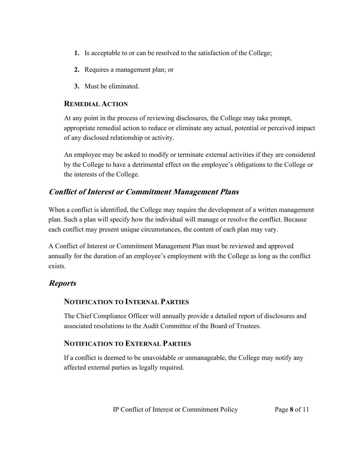- **1.** Is acceptable to or can be resolved to the satisfaction of the College;
- **2.** Requires a management plan; or
- **3.** Must be eliminated.

#### **REMEDIAL ACTION**

At any point in the process of reviewing disclosures, the College may take prompt, appropriate remedial action to reduce or eliminate any actual, potential or perceived impact of any disclosed relationship or activity.

An employee may be asked to modify or terminate external activities if they are considered by the College to have a detrimental effect on the employee's obligations to the College or the interests of the College.

#### **Conflict of Interest or Commitment Management Plans**

When a conflict is identified, the College may require the development of a written management plan. Such a plan will specify how the individual will manage or resolve the conflict. Because each conflict may present unique circumstances, the content of each plan may vary.

A Conflict of Interest or Commitment Management Plan must be reviewed and approved annually for the duration of an employee's employment with the College as long as the conflict exists.

## **Reports**

#### **NOTIFICATION TO INTERNAL PARTIES**

The Chief Compliance Officer will annually provide a detailed report of disclosures and associated resolutions to the Audit Committee of the Board of Trustees.

#### **NOTIFICATION TO EXTERNAL PARTIES**

If a conflict is deemed to be unavoidable or unmanageable, the College may notify any affected external parties as legally required.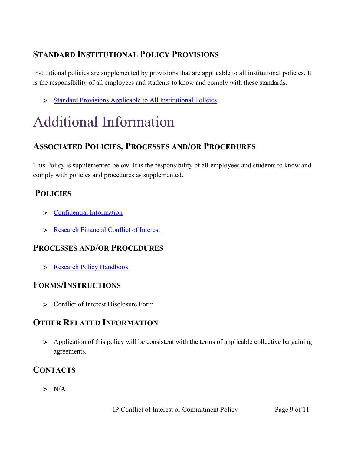## **STANDARD INSTITUTIONAL POLICY PROVISIONS**

Institutional policies are supplemented by provisions that are applicable to all institutional policies. It is the responsibility of all employees and students to know and comply with these standards.

> [Standard Provisions Applicable to All Institutional Policies](http://www.palmer.edu/uploadedFiles/Pages/Students/Resources_and_Offices/Handbook_and_Policies/_pdf/Standard-Provisions-Applicable-to-All-Institutional-Policies.pdf)

# Additional Information

## **ASSOCIATED POLICIES, PROCESSES AND/OR PROCEDURES**

This Policy is supplemented below. It is the responsibility of all employees and students to know and comply with policies and procedures as supplemented.

## **POLICIES**

- > [Confidential Information](https://www.palmer.edu/getmedia/40c12bcc-b79e-41c2-855b-5422e1e6b4ad/ip-confidential-information.pdf)
- > [Research Financial Conflict of Interest](https://www.palmer.edu/getmedia/40c12bcc-b79e-41c2-855b-5422e1e6b4ad/ip-confidential-information.pdf)

## **PROCESSES AND/OR PROCEDURES**

> [Research Policy Handbook](https://livepalmer.sharepoint.com/sites/OfficeofCompliance/Shared%20Documents/Forms/All%20Documents.aspx?id=%2Fsites%2FOfficeofCompliance%2FShared%20Documents%2FPolicies%2FResearch%20Policy%20Handbook%2Epdf&parent=%2Fsites%2FOfficeofCompliance%2FShared%20Documents%2FPolicies)

#### **FORMS/INSTRUCTIONS**

> Conflict of Interest Disclosure Form

## **OTHER RELATED INFORMATION**

> Application of this policy will be consistent with the terms of applicable collective bargaining agreements.

## **CONTACTS**

 $> N/A$